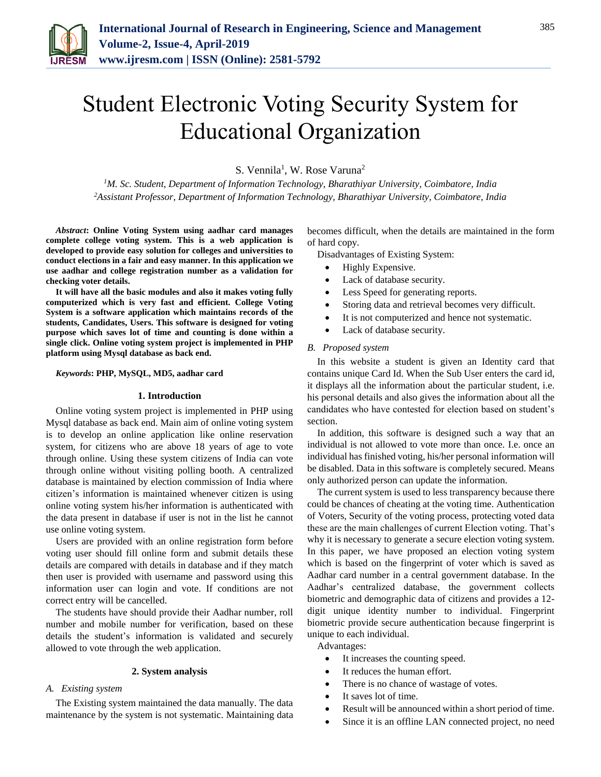

# Student Electronic Voting Security System for Educational Organization

S. Vennila<sup>1</sup>, W. Rose Varuna<sup>2</sup>

*<sup>1</sup>M. Sc. Student, Department of Information Technology, Bharathiyar University, Coimbatore, India 2Assistant Professor, Department of Information Technology, Bharathiyar University, Coimbatore, India*

*Abstract***: Online Voting System using aadhar card manages complete college voting system. This is a web application is developed to provide easy solution for colleges and universities to conduct elections in a fair and easy manner. In this application we use aadhar and college registration number as a validation for checking voter details.** 

**It will have all the basic modules and also it makes voting fully computerized which is very fast and efficient. College Voting System is a software application which maintains records of the students, Candidates, Users. This software is designed for voting purpose which saves lot of time and counting is done within a single click. Online voting system project is implemented in PHP platform using Mysql database as back end.**

*Keywords***: PHP, MySQL, MD5, aadhar card**

## **1. Introduction**

Online voting system project is implemented in PHP using Mysql database as back end. Main aim of online voting system is to develop an online application like online reservation system, for citizens who are above 18 years of age to vote through online. Using these system citizens of India can vote through online without visiting polling booth. A centralized database is maintained by election commission of India where citizen's information is maintained whenever citizen is using online voting system his/her information is authenticated with the data present in database if user is not in the list he cannot use online voting system.

Users are provided with an online registration form before voting user should fill online form and submit details these details are compared with details in database and if they match then user is provided with username and password using this information user can login and vote. If conditions are not correct entry will be cancelled.

The students have should provide their Aadhar number, roll number and mobile number for verification, based on these details the student's information is validated and securely allowed to vote through the web application.

## **2. System analysis**

## *A. Existing system*

The Existing system maintained the data manually. The data maintenance by the system is not systematic. Maintaining data becomes difficult, when the details are maintained in the form of hard copy.

Disadvantages of Existing System:

- Highly Expensive.
- Lack of database security.
- Less Speed for generating reports.
- Storing data and retrieval becomes very difficult.
- It is not computerized and hence not systematic.
- Lack of database security.

## *B. Proposed system*

In this website a student is given an Identity card that contains unique Card Id. When the Sub User enters the card id, it displays all the information about the particular student, i.e. his personal details and also gives the information about all the candidates who have contested for election based on student's section.

In addition, this software is designed such a way that an individual is not allowed to vote more than once. I.e. once an individual has finished voting, his/her personal information will be disabled. Data in this software is completely secured. Means only authorized person can update the information.

The current system is used to less transparency because there could be chances of cheating at the voting time. Authentication of Voters, Security of the voting process, protecting voted data these are the main challenges of current Election voting. That's why it is necessary to generate a secure election voting system. In this paper, we have proposed an election voting system which is based on the fingerprint of voter which is saved as Aadhar card number in a central government database. In the Aadhar's centralized database, the government collects biometric and demographic data of citizens and provides a 12 digit unique identity number to individual. Fingerprint biometric provide secure authentication because fingerprint is unique to each individual.

Advantages:

- It increases the counting speed.
- It reduces the human effort.
- There is no chance of wastage of votes.
- It saves lot of time.
- Result will be announced within a short period of time.
- Since it is an offline LAN connected project, no need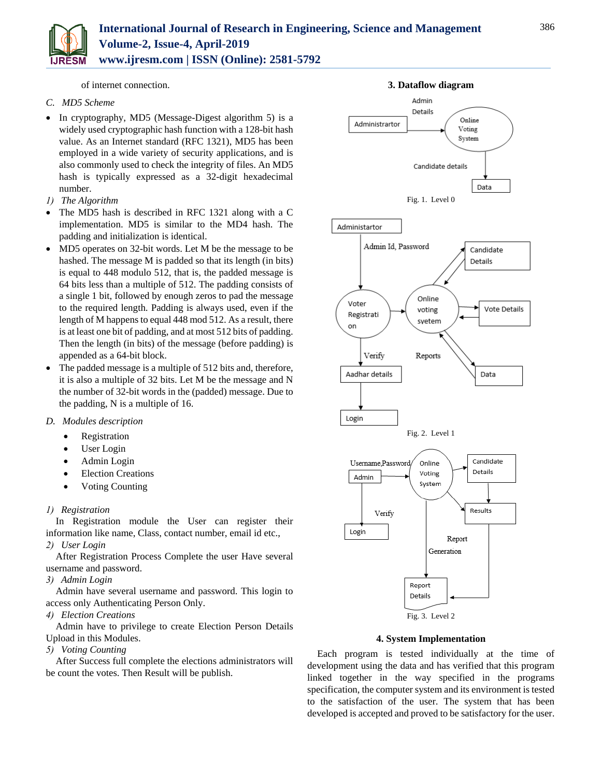

of internet connection.

## *C. MD5 Scheme*

- In cryptography, MD5 (Message-Digest algorithm 5) is a widely used cryptographic hash function with a 128-bit hash value. As an Internet standard (RFC 1321), MD5 has been employed in a wide variety of security applications, and is also commonly used to check the integrity of files. An MD5 hash is typically expressed as a 32-digit hexadecimal number.
- *1) The Algorithm*
- The MD5 hash is described in RFC 1321 along with a C implementation. MD5 is similar to the MD4 hash. The padding and initialization is identical.
- MD5 operates on 32-bit words. Let M be the message to be hashed. The message M is padded so that its length (in bits) is equal to 448 modulo 512, that is, the padded message is 64 bits less than a multiple of 512. The padding consists of a single 1 bit, followed by enough zeros to pad the message to the required length. Padding is always used, even if the length of M happens to equal 448 mod 512. As a result, there is at least one bit of padding, and at most 512 bits of padding. Then the length (in bits) of the message (before padding) is appended as a 64-bit block.
- The padded message is a multiple of 512 bits and, therefore, it is also a multiple of 32 bits. Let M be the message and N the number of 32-bit words in the (padded) message. Due to the padding, N is a multiple of 16.
- *D. Modules description*
	- Registration
	- User Login
	- Admin Login
	- Election Creations
	- Voting Counting

# *1) Registration*

In Registration module the User can register their information like name, Class, contact number, email id etc.,

*2) User Login*

After Registration Process Complete the user Have several username and password.

*3) Admin Login*

Admin have several username and password. This login to access only Authenticating Person Only.

*4) Election Creations*

Admin have to privilege to create Election Person Details Upload in this Modules.

*5) Voting Counting*

After Success full complete the elections administrators will be count the votes. Then Result will be publish.



## **4. System Implementation**

Each program is tested individually at the time of development using the data and has verified that this program linked together in the way specified in the programs specification, the computer system and its environment is tested to the satisfaction of the user. The system that has been developed is accepted and proved to be satisfactory for the user.